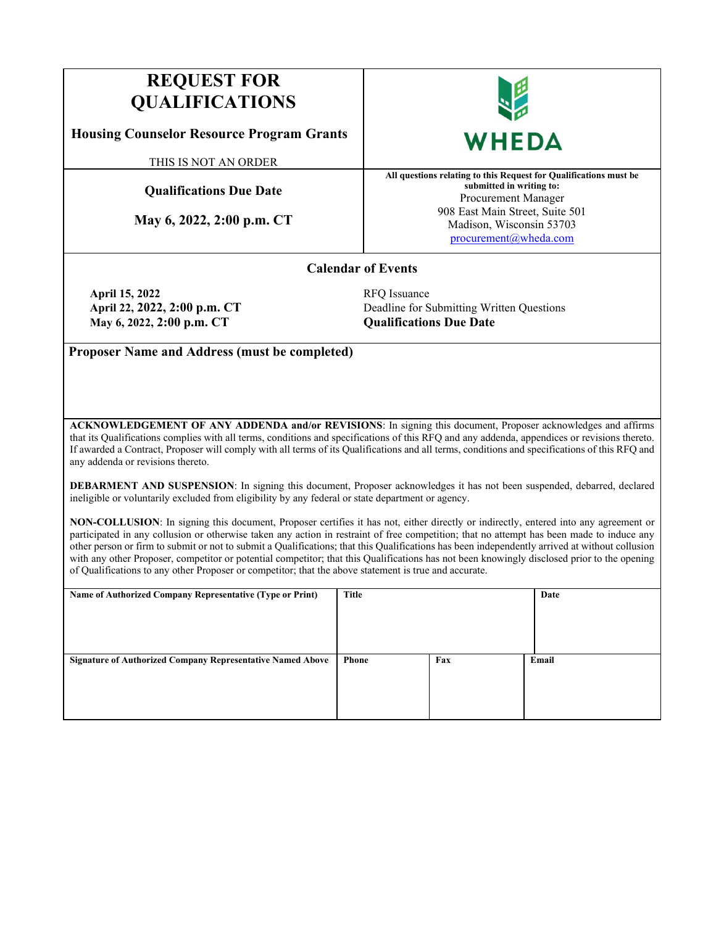# **REQUEST FOR QUALIFICATIONS**

**Housing Counselor Resource Program Grants** 

THIS IS NOT AN ORDER

**Qualifications Due Date**

**May 6, 2022, 2:00 p.m. CT**



**All questions relating to this Request for Qualifications must be submitted in writing to:** Procurement Manager 908 East Main Street, Suite 501 Madison, Wisconsin 53703 [procurement@wheda.com](mailto:procurement@wheda.com) 

# **Calendar of Events**

**April 15, 2022** RFQ Issuance **May 6, 2022, 2:00 p.m. CT Qualifications Due Date**

**April 22, 2022, 2:00 p.m. CT** Deadline for Submitting Written Questions

**Proposer Name and Address (must be completed)**

**ACKNOWLEDGEMENT OF ANY ADDENDA and/or REVISIONS**: In signing this document, Proposer acknowledges and affirms that its Qualifications complies with all terms, conditions and specifications of this RFQ and any addenda, appendices or revisions thereto. If awarded a Contract, Proposer will comply with all terms of its Qualifications and all terms, conditions and specifications of this RFQ and any addenda or revisions thereto.

**DEBARMENT AND SUSPENSION**: In signing this document, Proposer acknowledges it has not been suspended, debarred, declared ineligible or voluntarily excluded from eligibility by any federal or state department or agency.

**NON-COLLUSION**: In signing this document, Proposer certifies it has not, either directly or indirectly, entered into any agreement or participated in any collusion or otherwise taken any action in restraint of free competition; that no attempt has been made to induce any other person or firm to submit or not to submit a Qualifications; that this Qualifications has been independently arrived at without collusion with any other Proposer, competitor or potential competitor; that this Qualifications has not been knowingly disclosed prior to the opening of Qualifications to any other Proposer or competitor; that the above statement is true and accurate.

| Name of Authorized Company Representative (Type or Print)         | <b>Title</b> |     | Date  |
|-------------------------------------------------------------------|--------------|-----|-------|
| <b>Signature of Authorized Company Representative Named Above</b> | <b>Phone</b> | Fax | Email |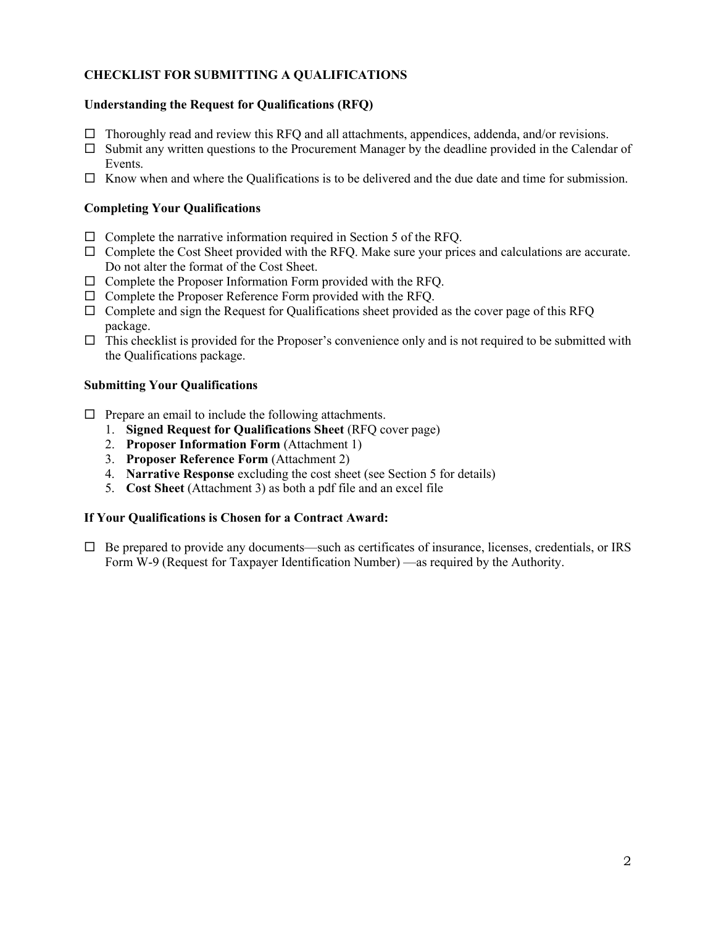# **CHECKLIST FOR SUBMITTING A QUALIFICATIONS**

# **Understanding the Request for Qualifications (RFQ)**

- $\Box$  Thoroughly read and review this RFQ and all attachments, appendices, addenda, and/or revisions.
- $\Box$  Submit any written questions to the Procurement Manager by the deadline provided in the Calendar of Events.
- $\Box$  Know when and where the Qualifications is to be delivered and the due date and time for submission.

# **Completing Your Qualifications**

- $\Box$  Complete the narrative information required in Section 5 of the RFQ.
- $\Box$  Complete the Cost Sheet provided with the RFQ. Make sure your prices and calculations are accurate. Do not alter the format of the Cost Sheet.
- $\Box$  Complete the Proposer Information Form provided with the RFQ.
- $\Box$  Complete the Proposer Reference Form provided with the RFO.
- $\Box$  Complete and sign the Request for Qualifications sheet provided as the cover page of this RFQ package.
- $\Box$  This checklist is provided for the Proposer's convenience only and is not required to be submitted with the Qualifications package.

# **Submitting Your Qualifications**

- $\Box$  Prepare an email to include the following attachments.
	- 1. **Signed Request for Qualifications Sheet** (RFQ cover page)
	- 2. **Proposer Information Form** (Attachment 1)
	- 3. **Proposer Reference Form** (Attachment 2)
	- 4. **Narrative Response** excluding the cost sheet (see Section 5 for details)
	- 5. **Cost Sheet** (Attachment 3) as both a pdf file and an excel file

# **If Your Qualifications is Chosen for a Contract Award:**

 $\Box$  Be prepared to provide any documents—such as certificates of insurance, licenses, credentials, or IRS Form W-9 (Request for Taxpayer Identification Number) —as required by the Authority.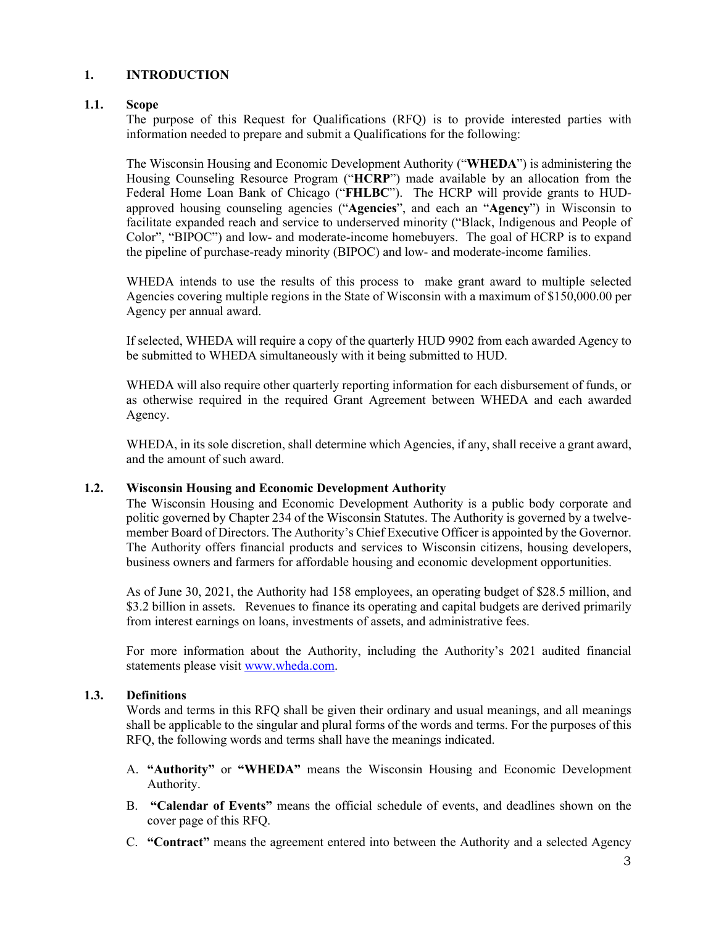# **1. INTRODUCTION**

# **1.1. Scope**

The purpose of this Request for Qualifications (RFQ) is to provide interested parties with information needed to prepare and submit a Qualifications for the following:

The Wisconsin Housing and Economic Development Authority ("**WHEDA**") is administering the Housing Counseling Resource Program ("**HCRP**") made available by an allocation from the Federal Home Loan Bank of Chicago ("**FHLBC**"). The HCRP will provide grants to HUDapproved housing counseling agencies ("**Agencies**", and each an "**Agency**") in Wisconsin to facilitate expanded reach and service to underserved minority ("Black, Indigenous and People of Color", "BIPOC") and low- and moderate-income homebuyers. The goal of HCRP is to expand the pipeline of purchase-ready minority (BIPOC) and low- and moderate-income families.

WHEDA intends to use the results of this process to make grant award to multiple selected Agencies covering multiple regions in the State of Wisconsin with a maximum of \$150,000.00 per Agency per annual award.

If selected, WHEDA will require a copy of the quarterly HUD 9902 from each awarded Agency to be submitted to WHEDA simultaneously with it being submitted to HUD.

WHEDA will also require other quarterly reporting information for each disbursement of funds, or as otherwise required in the required Grant Agreement between WHEDA and each awarded Agency.

WHEDA, in its sole discretion, shall determine which Agencies, if any, shall receive a grant award, and the amount of such award.

# **1.2. Wisconsin Housing and Economic Development Authority**

The Wisconsin Housing and Economic Development Authority is a public body corporate and politic governed by Chapter 234 of the Wisconsin Statutes. The Authority is governed by a twelvemember Board of Directors. The Authority's Chief Executive Officer is appointed by the Governor. The Authority offers financial products and services to Wisconsin citizens, housing developers, business owners and farmers for affordable housing and economic development opportunities.

As of June 30, 2021, the Authority had 158 employees, an operating budget of \$28.5 million, and \$3.2 billion in assets. Revenues to finance its operating and capital budgets are derived primarily from interest earnings on loans, investments of assets, and administrative fees.

For more information about the Authority, including the Authority's 2021 audited financial statements please visit [www.wheda.com.](http://www.wheda.com/)

#### **1.3. Definitions**

Words and terms in this RFQ shall be given their ordinary and usual meanings, and all meanings shall be applicable to the singular and plural forms of the words and terms. For the purposes of this RFQ, the following words and terms shall have the meanings indicated.

- A. **"Authority"** or **"WHEDA"** means the Wisconsin Housing and Economic Development Authority.
- B. **"Calendar of Events"** means the official schedule of events, and deadlines shown on the cover page of this RFQ.
- C. **"Contract"** means the agreement entered into between the Authority and a selected Agency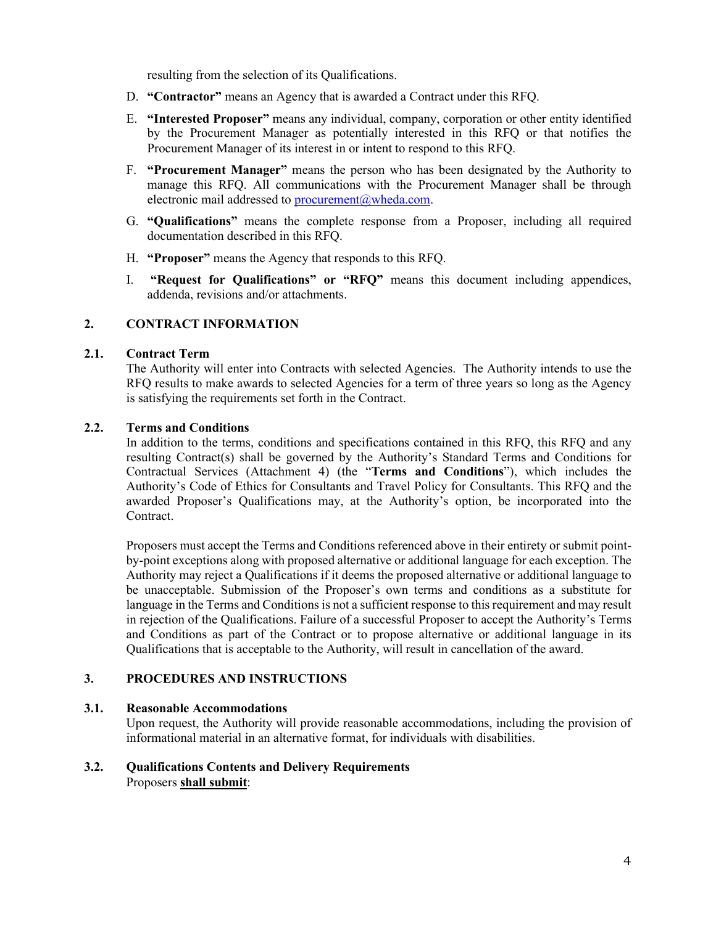resulting from the selection of its Qualifications.

- D. **"Contractor"** means an Agency that is awarded a Contract under this RFQ.
- E. **"Interested Proposer"** means any individual, company, corporation or other entity identified by the Procurement Manager as potentially interested in this RFQ or that notifies the Procurement Manager of its interest in or intent to respond to this RFQ.
- F. **"Procurement Manager"** means the person who has been designated by the Authority to manage this RFQ. All communications with the Procurement Manager shall be through electronic mail addressed to [procurement@wheda.com.](mailto:procurement@wheda.com)
- G. **"Qualifications"** means the complete response from a Proposer, including all required documentation described in this RFQ.
- H. **"Proposer"** means the Agency that responds to this RFQ.
- I. **"Request for Qualifications" or "RFQ"** means this document including appendices, addenda, revisions and/or attachments.

# **2. CONTRACT INFORMATION**

# **2.1. Contract Term**

The Authority will enter into Contracts with selected Agencies. The Authority intends to use the RFQ results to make awards to selected Agencies for a term of three years so long as the Agency is satisfying the requirements set forth in the Contract.

# **2.2. Terms and Conditions**

In addition to the terms, conditions and specifications contained in this RFQ, this RFQ and any resulting Contract(s) shall be governed by the Authority's Standard Terms and Conditions for Contractual Services (Attachment 4) (the "**Terms and Conditions**"), which includes the Authority's Code of Ethics for Consultants and Travel Policy for Consultants. This RFQ and the awarded Proposer's Qualifications may, at the Authority's option, be incorporated into the Contract.

Proposers must accept the Terms and Conditions referenced above in their entirety or submit pointby-point exceptions along with proposed alternative or additional language for each exception. The Authority may reject a Qualifications if it deems the proposed alternative or additional language to be unacceptable. Submission of the Proposer's own terms and conditions as a substitute for language in the Terms and Conditions is not a sufficient response to this requirement and may result in rejection of the Qualifications. Failure of a successful Proposer to accept the Authority's Terms and Conditions as part of the Contract or to propose alternative or additional language in its Qualifications that is acceptable to the Authority, will result in cancellation of the award.

# **3. PROCEDURES AND INSTRUCTIONS**

# **3.1. Reasonable Accommodations**

Upon request, the Authority will provide reasonable accommodations, including the provision of informational material in an alternative format, for individuals with disabilities.

# **3.2. Qualifications Contents and Delivery Requirements** Proposers **shall submit**: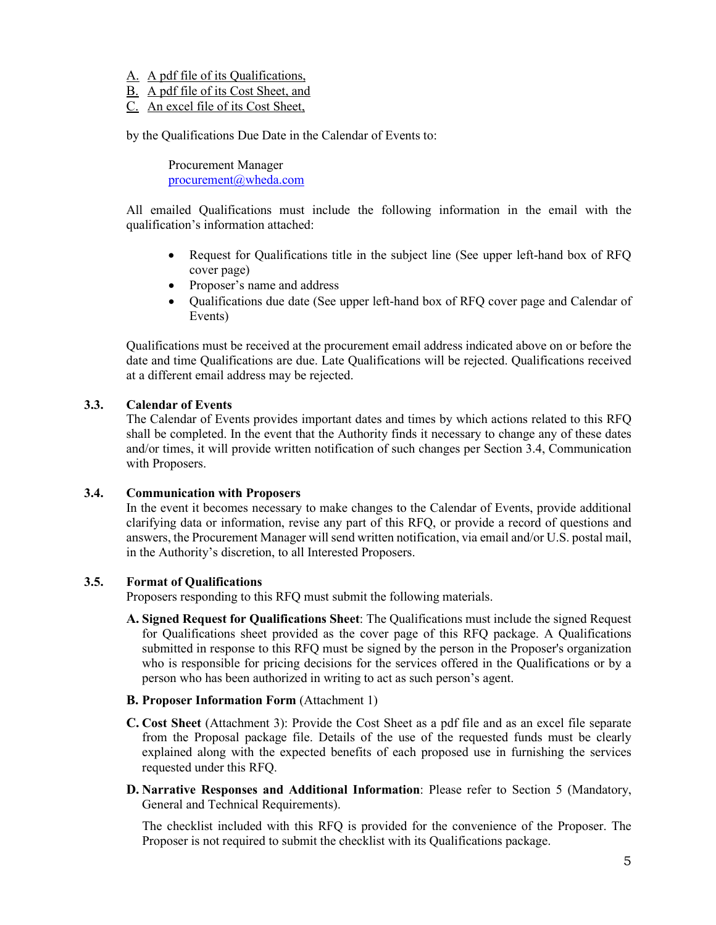- A. A pdf file of its Qualifications,
- B. A pdf file of its Cost Sheet, and
- C. An excel file of its Cost Sheet,

by the Qualifications Due Date in the Calendar of Events to:

Procurement Manager [procurement@wheda.com](mailto:procurement@wheda.com)

All emailed Qualifications must include the following information in the email with the qualification's information attached:

- Request for Qualifications title in the subject line (See upper left-hand box of RFQ cover page)
- Proposer's name and address
- Qualifications due date (See upper left-hand box of RFQ cover page and Calendar of Events)

Qualifications must be received at the procurement email address indicated above on or before the date and time Qualifications are due. Late Qualifications will be rejected. Qualifications received at a different email address may be rejected.

# **3.3. Calendar of Events**

The Calendar of Events provides important dates and times by which actions related to this RFQ shall be completed. In the event that the Authority finds it necessary to change any of these dates and/or times, it will provide written notification of such changes per Section 3.4, Communication with Proposers.

# **3.4. Communication with Proposers**

In the event it becomes necessary to make changes to the Calendar of Events, provide additional clarifying data or information, revise any part of this RFQ, or provide a record of questions and answers, the Procurement Manager will send written notification, via email and/or U.S. postal mail, in the Authority's discretion, to all Interested Proposers.

# **3.5. Format of Qualifications**

Proposers responding to this RFQ must submit the following materials.

- **A. Signed Request for Qualifications Sheet**: The Qualifications must include the signed Request for Qualifications sheet provided as the cover page of this RFQ package. A Qualifications submitted in response to this RFQ must be signed by the person in the Proposer's organization who is responsible for pricing decisions for the services offered in the Qualifications or by a person who has been authorized in writing to act as such person's agent.
- **B. Proposer Information Form** (Attachment 1)
- **C. Cost Sheet** (Attachment 3): Provide the Cost Sheet as a pdf file and as an excel file separate from the Proposal package file. Details of the use of the requested funds must be clearly explained along with the expected benefits of each proposed use in furnishing the services requested under this RFQ.
- **D. Narrative Responses and Additional Information**: Please refer to Section 5 (Mandatory, General and Technical Requirements).

The checklist included with this RFQ is provided for the convenience of the Proposer. The Proposer is not required to submit the checklist with its Qualifications package.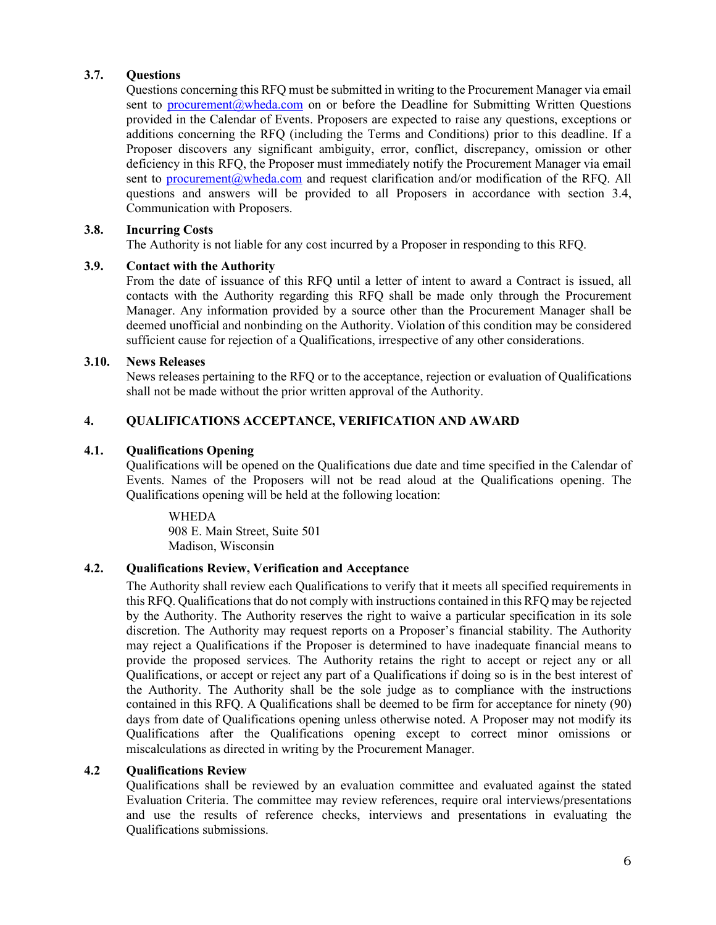# **3.7. Questions**

Questions concerning this RFQ must be submitted in writing to the Procurement Manager via email sent to [procurement@wheda.com](mailto:procurement@wheda.com) on or before the Deadline for Submitting Written Ouestions provided in the Calendar of Events. Proposers are expected to raise any questions, exceptions or additions concerning the RFQ (including the Terms and Conditions) prior to this deadline. If a Proposer discovers any significant ambiguity, error, conflict, discrepancy, omission or other deficiency in this RFQ, the Proposer must immediately notify the Procurement Manager via email sent to [procurement@wheda.com](mailto:procurement@wheda.com) and request clarification and/or modification of the RFQ. All questions and answers will be provided to all Proposers in accordance with section 3.4, Communication with Proposers.

# **3.8. Incurring Costs**

The Authority is not liable for any cost incurred by a Proposer in responding to this RFQ.

# **3.9. Contact with the Authority**

From the date of issuance of this RFQ until a letter of intent to award a Contract is issued, all contacts with the Authority regarding this RFQ shall be made only through the Procurement Manager. Any information provided by a source other than the Procurement Manager shall be deemed unofficial and nonbinding on the Authority. Violation of this condition may be considered sufficient cause for rejection of a Qualifications, irrespective of any other considerations.

# **3.10. News Releases**

News releases pertaining to the RFQ or to the acceptance, rejection or evaluation of Qualifications shall not be made without the prior written approval of the Authority.

# **4. QUALIFICATIONS ACCEPTANCE, VERIFICATION AND AWARD**

# **4.1. Qualifications Opening**

Qualifications will be opened on the Qualifications due date and time specified in the Calendar of Events. Names of the Proposers will not be read aloud at the Qualifications opening. The Qualifications opening will be held at the following location:

WHEDA 908 E. Main Street, Suite 501 Madison, Wisconsin

# **4.2. Qualifications Review, Verification and Acceptance**

The Authority shall review each Qualifications to verify that it meets all specified requirements in this RFQ. Qualificationsthat do not comply with instructions contained in this RFQ may be rejected by the Authority. The Authority reserves the right to waive a particular specification in its sole discretion. The Authority may request reports on a Proposer's financial stability. The Authority may reject a Qualifications if the Proposer is determined to have inadequate financial means to provide the proposed services. The Authority retains the right to accept or reject any or all Qualifications, or accept or reject any part of a Qualifications if doing so is in the best interest of the Authority. The Authority shall be the sole judge as to compliance with the instructions contained in this RFQ. A Qualifications shall be deemed to be firm for acceptance for ninety (90) days from date of Qualifications opening unless otherwise noted. A Proposer may not modify its Qualifications after the Qualifications opening except to correct minor omissions or miscalculations as directed in writing by the Procurement Manager.

# **4.2 Qualifications Review**

Qualifications shall be reviewed by an evaluation committee and evaluated against the stated Evaluation Criteria. The committee may review references, require oral interviews/presentations and use the results of reference checks, interviews and presentations in evaluating the Qualifications submissions.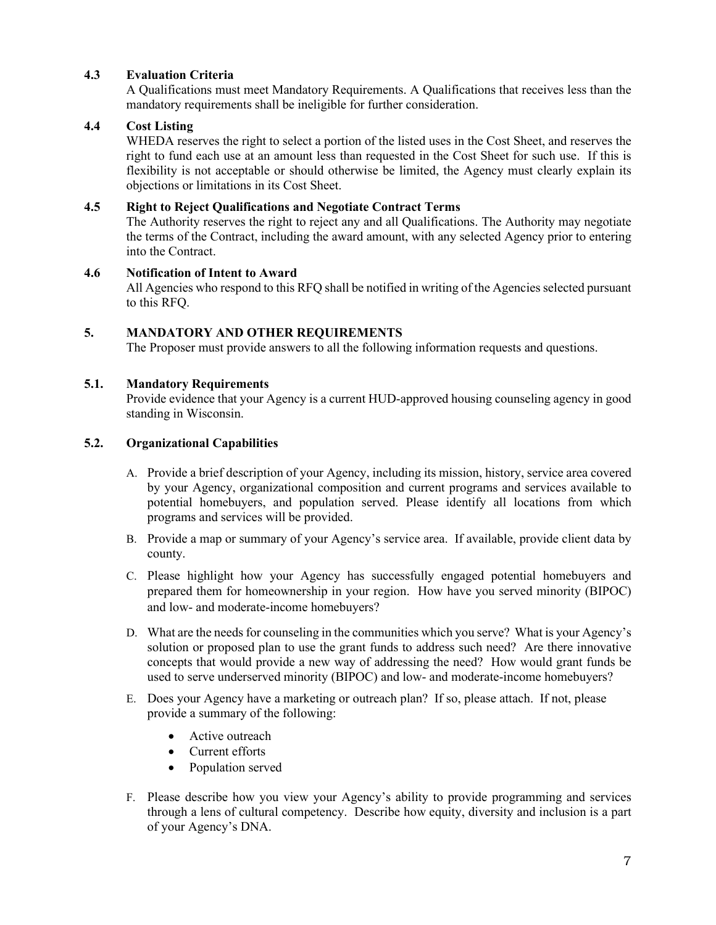# **4.3 Evaluation Criteria**

A Qualifications must meet Mandatory Requirements. A Qualifications that receives less than the mandatory requirements shall be ineligible for further consideration.

# **4.4 Cost Listing**

WHEDA reserves the right to select a portion of the listed uses in the Cost Sheet, and reserves the right to fund each use at an amount less than requested in the Cost Sheet for such use. If this is flexibility is not acceptable or should otherwise be limited, the Agency must clearly explain its objections or limitations in its Cost Sheet.

# **4.5 Right to Reject Qualifications and Negotiate Contract Terms**

The Authority reserves the right to reject any and all Qualifications. The Authority may negotiate the terms of the Contract, including the award amount, with any selected Agency prior to entering into the Contract.

# **4.6 Notification of Intent to Award**

All Agencies who respond to this RFQ shall be notified in writing of the Agencies selected pursuant to this RFQ.

# **5. MANDATORY AND OTHER REQUIREMENTS**

The Proposer must provide answers to all the following information requests and questions.

# **5.1. Mandatory Requirements**

Provide evidence that your Agency is a current HUD-approved housing counseling agency in good standing in Wisconsin.

# **5.2. Organizational Capabilities**

- A. Provide a brief description of your Agency, including its mission, history, service area covered by your Agency, organizational composition and current programs and services available to potential homebuyers, and population served. Please identify all locations from which programs and services will be provided.
- B. Provide a map or summary of your Agency's service area. If available, provide client data by county.
- C. Please highlight how your Agency has successfully engaged potential homebuyers and prepared them for homeownership in your region. How have you served minority (BIPOC) and low- and moderate-income homebuyers?
- D. What are the needs for counseling in the communities which you serve? What is your Agency's solution or proposed plan to use the grant funds to address such need? Are there innovative concepts that would provide a new way of addressing the need? How would grant funds be used to serve underserved minority (BIPOC) and low- and moderate-income homebuyers?
- E. Does your Agency have a marketing or outreach plan? If so, please attach. If not, please provide a summary of the following:
	- Active outreach
	- Current efforts
	- Population served
- F. Please describe how you view your Agency's ability to provide programming and services through a lens of cultural competency. Describe how equity, diversity and inclusion is a part of your Agency's DNA.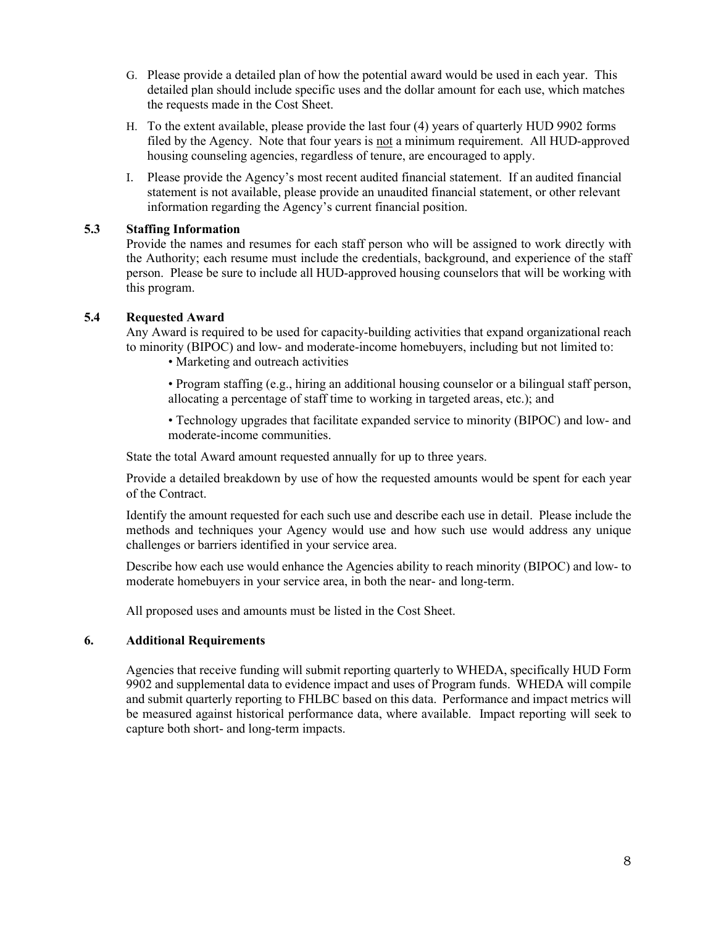- G. Please provide a detailed plan of how the potential award would be used in each year. This detailed plan should include specific uses and the dollar amount for each use, which matches the requests made in the Cost Sheet.
- H. To the extent available, please provide the last four (4) years of quarterly HUD 9902 forms filed by the Agency. Note that four years is not a minimum requirement. All HUD-approved housing counseling agencies, regardless of tenure, are encouraged to apply.
- I. Please provide the Agency's most recent audited financial statement. If an audited financial statement is not available, please provide an unaudited financial statement, or other relevant information regarding the Agency's current financial position.

# **5.3 Staffing Information**

Provide the names and resumes for each staff person who will be assigned to work directly with the Authority; each resume must include the credentials, background, and experience of the staff person. Please be sure to include all HUD-approved housing counselors that will be working with this program.

# **5.4 Requested Award**

Any Award is required to be used for capacity-building activities that expand organizational reach to minority (BIPOC) and low- and moderate-income homebuyers, including but not limited to:

• Marketing and outreach activities

• Program staffing (e.g., hiring an additional housing counselor or a bilingual staff person, allocating a percentage of staff time to working in targeted areas, etc.); and

• Technology upgrades that facilitate expanded service to minority (BIPOC) and low- and moderate-income communities.

State the total Award amount requested annually for up to three years.

Provide a detailed breakdown by use of how the requested amounts would be spent for each year of the Contract.

Identify the amount requested for each such use and describe each use in detail. Please include the methods and techniques your Agency would use and how such use would address any unique challenges or barriers identified in your service area.

Describe how each use would enhance the Agencies ability to reach minority (BIPOC) and low- to moderate homebuyers in your service area, in both the near- and long-term.

All proposed uses and amounts must be listed in the Cost Sheet.

# **6. Additional Requirements**

Agencies that receive funding will submit reporting quarterly to WHEDA, specifically HUD Form 9902 and supplemental data to evidence impact and uses of Program funds. WHEDA will compile and submit quarterly reporting to FHLBC based on this data. Performance and impact metrics will be measured against historical performance data, where available. Impact reporting will seek to capture both short- and long-term impacts.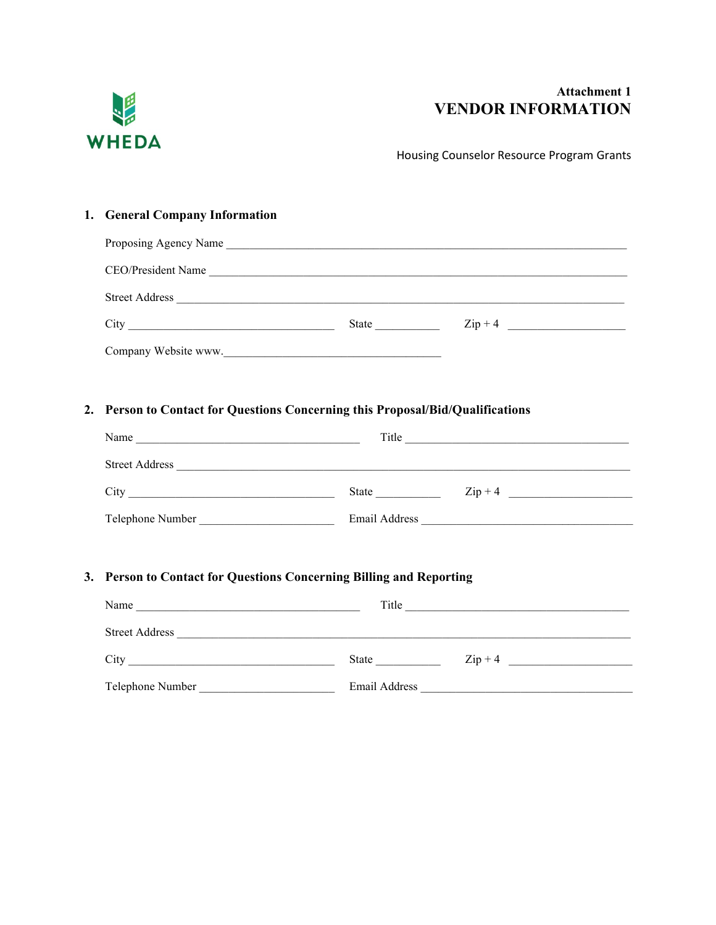

# **Attachment 1 VENDOR INFORMATION**

Housing Counselor Resource Program Grants

# **1. General Company Information**

| Proposing Agency Name |       |               |
|-----------------------|-------|---------------|
| CEO/President Name    |       |               |
| <b>Street Address</b> |       |               |
| City                  | State | $\chi$ ip + 4 |
| Company Website www.  |       |               |

# **2. Person to Contact for Questions Concerning this Proposal/Bid/Qualifications**

| Name                  | Title         |                           |
|-----------------------|---------------|---------------------------|
| <b>Street Address</b> |               |                           |
| City                  | <b>State</b>  | $\mathop{\mathrm{Zip}}+4$ |
| Telephone Number      | Email Address |                           |

#### **3. Person to Contact for Questions Concerning Billing and Reporting**

| Name                  | Title         |                  |
|-----------------------|---------------|------------------|
| <b>Street Address</b> |               |                  |
| City                  | State         | $\mathsf{Zip}+4$ |
| Telephone Number      | Email Address |                  |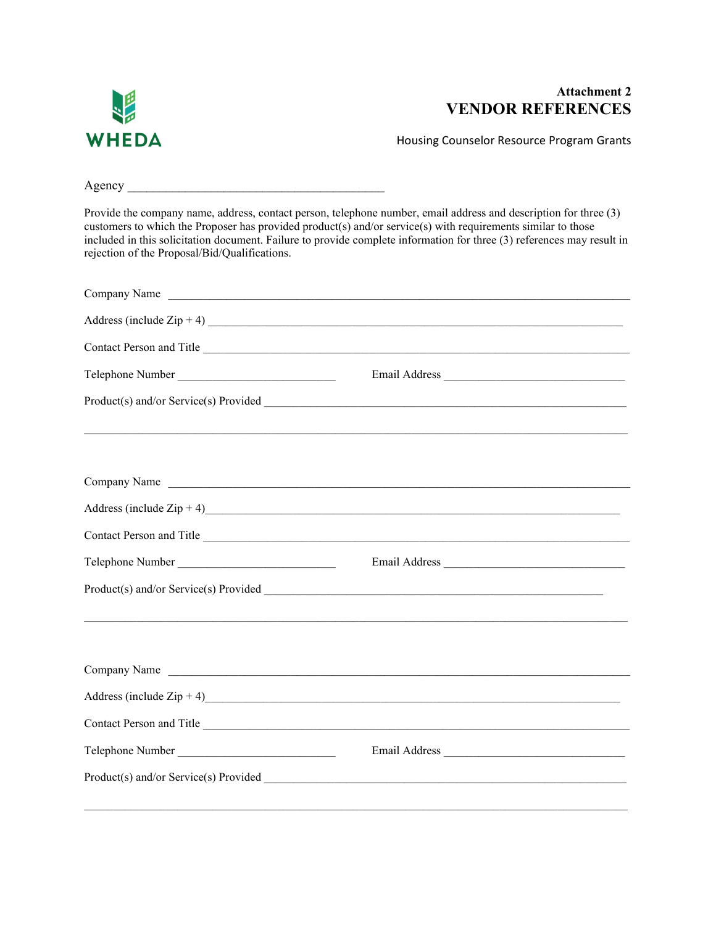

# **Attachment 2 VENDOR REFERENCES**

Housing Counselor Resource Program Grants

Agency \_

Provide the company name, address, contact person, telephone number, email address and description for three (3) customers to which the Proposer has provided product(s) and/or service(s) with requirements similar to those included in this solicitation document. Failure to provide complete information for three (3) references may result in rejection of the Proposal/Bid/Qualifications.

| Company Name     |                                      |
|------------------|--------------------------------------|
|                  |                                      |
|                  |                                      |
| Telephone Number |                                      |
|                  |                                      |
|                  |                                      |
| Company Name     |                                      |
|                  | Address (include $\text{Zip } + 4$ ) |
|                  |                                      |
| Telephone Number |                                      |
|                  |                                      |
|                  |                                      |
|                  |                                      |
|                  | Address (include $\text{Zip } + 4$ ) |
|                  |                                      |
| Telephone Number |                                      |
|                  |                                      |
|                  |                                      |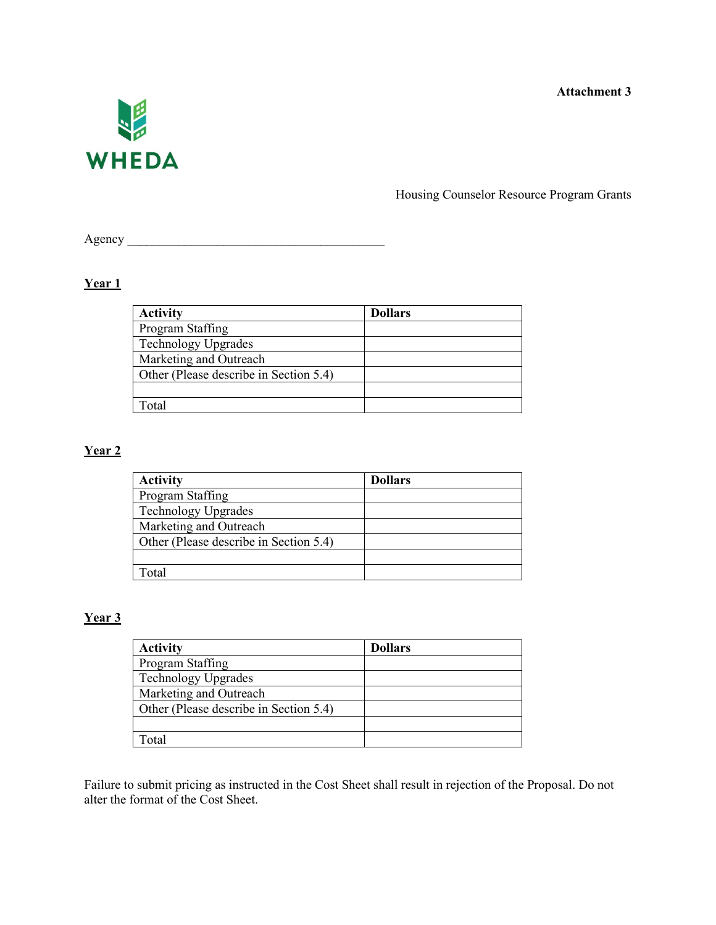**Attachment 3**



Housing Counselor Resource Program Grants

Agency \_\_\_\_\_\_\_\_\_\_\_\_\_\_\_\_\_\_\_\_\_\_\_\_\_\_\_\_\_\_\_\_\_\_\_\_\_\_\_\_

# **Year 1**

| <b>Activity</b>                        | <b>Dollars</b> |
|----------------------------------------|----------------|
| Program Staffing                       |                |
| <b>Technology Upgrades</b>             |                |
| Marketing and Outreach                 |                |
| Other (Please describe in Section 5.4) |                |
|                                        |                |
| Total                                  |                |

# **Year 2**

| <b>Activity</b>                        | <b>Dollars</b> |
|----------------------------------------|----------------|
| Program Staffing                       |                |
| <b>Technology Upgrades</b>             |                |
| Marketing and Outreach                 |                |
| Other (Please describe in Section 5.4) |                |
|                                        |                |
| Total                                  |                |

# **Year 3**

| <b>Activity</b>                        | <b>Dollars</b> |
|----------------------------------------|----------------|
| Program Staffing                       |                |
| <b>Technology Upgrades</b>             |                |
| Marketing and Outreach                 |                |
| Other (Please describe in Section 5.4) |                |
|                                        |                |
| Total                                  |                |

Failure to submit pricing as instructed in the Cost Sheet shall result in rejection of the Proposal. Do not alter the format of the Cost Sheet.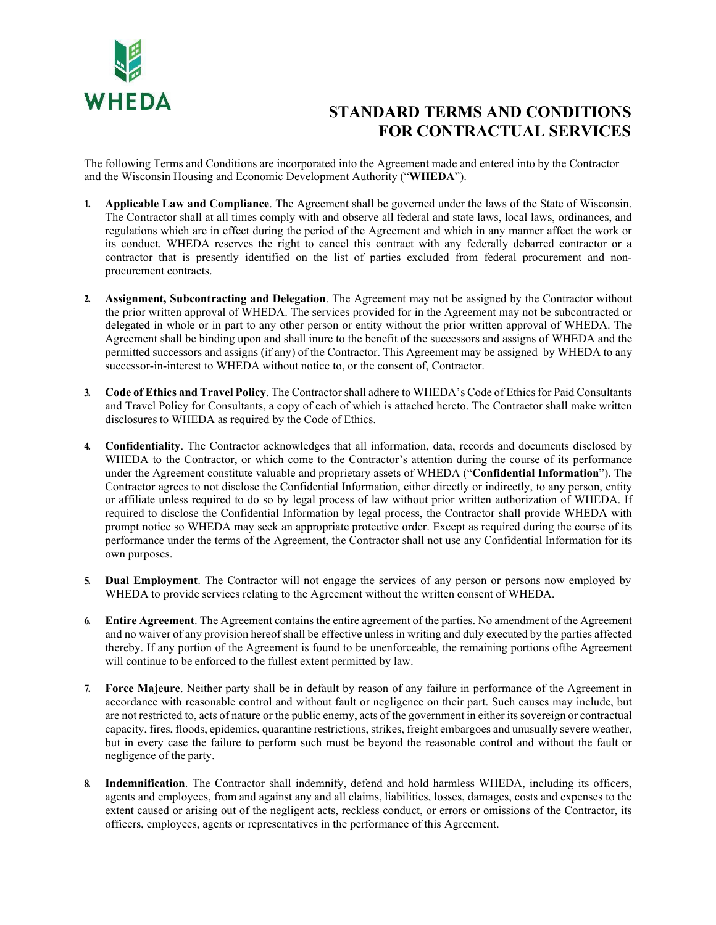

# **STANDARD TERMS AND CONDITIONS FOR CONTRACTUAL SERVICES**

The following Terms and Conditions are incorporated into the Agreement made and entered into by the Contractor and the Wisconsin Housing and Economic Development Authority ("**WHEDA**").

- **1. Applicable Law and Compliance**. The Agreement shall be governed under the laws of the State of Wisconsin. The Contractor shall at all times comply with and observe all federal and state laws, local laws, ordinances, and regulations which are in effect during the period of the Agreement and which in any manner affect the work or its conduct. WHEDA reserves the right to cancel this contract with any federally debarred contractor or a contractor that is presently identified on the list of parties excluded from federal procurement and nonprocurement contracts.
- **2. Assignment, Subcontracting and Delegation**. The Agreement may not be assigned by the Contractor without the prior written approval of WHEDA. The services provided for in the Agreement may not be subcontracted or delegated in whole or in part to any other person or entity without the prior written approval of WHEDA. The Agreement shall be binding upon and shall inure to the benefit of the successors and assigns of WHEDA and the permitted successors and assigns (if any) of the Contractor. This Agreement may be assigned by WHEDA to any successor-in-interest to WHEDA without notice to, or the consent of, Contractor.
- **3. Code of Ethics and Travel Policy**. The Contractor shall adhere to WHEDA's Code of Ethics for Paid Consultants and Travel Policy for Consultants, a copy of each of which is attached hereto. The Contractor shall make written disclosures to WHEDA as required by the Code of Ethics.
- **4. Confidentiality**. The Contractor acknowledges that all information, data, records and documents disclosed by WHEDA to the Contractor, or which come to the Contractor's attention during the course of its performance under the Agreement constitute valuable and proprietary assets of WHEDA ("**Confidential Information**"). The Contractor agrees to not disclose the Confidential Information, either directly or indirectly, to any person, entity or affiliate unless required to do so by legal process of law without prior written authorization of WHEDA. If required to disclose the Confidential Information by legal process, the Contractor shall provide WHEDA with prompt notice so WHEDA may seek an appropriate protective order. Except as required during the course of its performance under the terms of the Agreement, the Contractor shall not use any Confidential Information for its own purposes.
- **5. Dual Employment**. The Contractor will not engage the services of any person or persons now employed by WHEDA to provide services relating to the Agreement without the written consent of WHEDA.
- **6. Entire Agreement**. The Agreement contains the entire agreement of the parties. No amendment of the Agreement and no waiver of any provision hereof shall be effective unless in writing and duly executed by the parties affected thereby. If any portion of the Agreement is found to be unenforceable, the remaining portions ofthe Agreement will continue to be enforced to the fullest extent permitted by law.
- **7. Force Majeure**. Neither party shall be in default by reason of any failure in performance of the Agreement in accordance with reasonable control and without fault or negligence on their part. Such causes may include, but are not restricted to, acts of nature or the public enemy, acts of the government in either its sovereign or contractual capacity, fires, floods, epidemics, quarantine restrictions, strikes, freight embargoes and unusually severe weather, but in every case the failure to perform such must be beyond the reasonable control and without the fault or negligence of the party.
- **8. Indemnification**. The Contractor shall indemnify, defend and hold harmless WHEDA, including its officers, agents and employees, from and against any and all claims, liabilities, losses, damages, costs and expenses to the extent caused or arising out of the negligent acts, reckless conduct, or errors or omissions of the Contractor, its officers, employees, agents or representatives in the performance of this Agreement.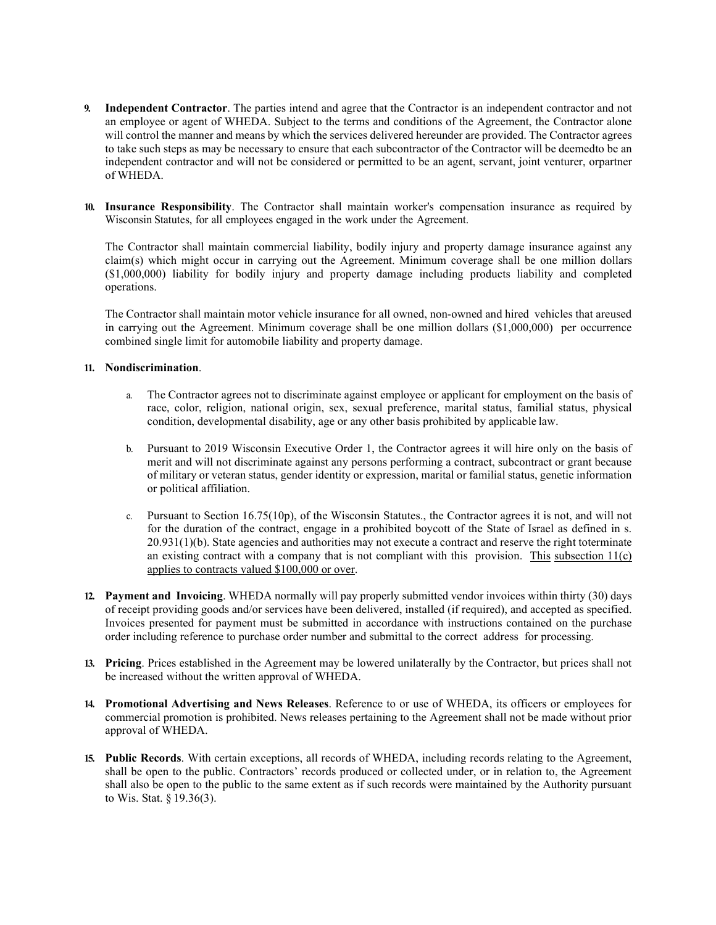- **9. Independent Contractor**. The parties intend and agree that the Contractor is an independent contractor and not an employee or agent of WHEDA. Subject to the terms and conditions of the Agreement, the Contractor alone will control the manner and means by which the services delivered hereunder are provided. The Contractor agrees to take such steps as may be necessary to ensure that each subcontractor of the Contractor will be deemedto be an independent contractor and will not be considered or permitted to be an agent, servant, joint venturer, orpartner of WHEDA.
- **10. Insurance Responsibility**. The Contractor shall maintain worker's compensation insurance as required by Wisconsin Statutes, for all employees engaged in the work under the Agreement.

The Contractor shall maintain commercial liability, bodily injury and property damage insurance against any claim(s) which might occur in carrying out the Agreement. Minimum coverage shall be one million dollars (\$1,000,000) liability for bodily injury and property damage including products liability and completed operations.

The Contractor shall maintain motor vehicle insurance for all owned, non-owned and hired vehicles that areused in carrying out the Agreement. Minimum coverage shall be one million dollars (\$1,000,000) per occurrence combined single limit for automobile liability and property damage.

#### **11. Nondiscrimination**.

- a. The Contractor agrees not to discriminate against employee or applicant for employment on the basis of race, color, religion, national origin, sex, sexual preference, marital status, familial status, physical condition, developmental disability, age or any other basis prohibited by applicable law.
- b. Pursuant to 2019 Wisconsin Executive Order 1, the Contractor agrees it will hire only on the basis of merit and will not discriminate against any persons performing a contract, subcontract or grant because of military or veteran status, gender identity or expression, marital or familial status, genetic information or political affiliation.
- c. Pursuant to Section 16.75(10p), of the Wisconsin Statutes., the Contractor agrees it is not, and will not for the duration of the contract, engage in a prohibited boycott of the State of Israel as defined in s. 20.931(1)(b). State agencies and authorities may not execute a contract and reserve the right toterminate an existing contract with a company that is not compliant with this provision. This subsection  $11(c)$ applies to contracts valued \$100,000 or over.
- **12. Payment and Invoicing**. WHEDA normally will pay properly submitted vendor invoices within thirty (30) days of receipt providing goods and/or services have been delivered, installed (if required), and accepted as specified. Invoices presented for payment must be submitted in accordance with instructions contained on the purchase order including reference to purchase order number and submittal to the correct address for processing.
- **13. Pricing**. Prices established in the Agreement may be lowered unilaterally by the Contractor, but prices shall not be increased without the written approval of WHEDA.
- **14. Promotional Advertising and News Releases**. Reference to or use of WHEDA, its officers or employees for commercial promotion is prohibited. News releases pertaining to the Agreement shall not be made without prior approval of WHEDA.
- **15. Public Records**. With certain exceptions, all records of WHEDA, including records relating to the Agreement, shall be open to the public. Contractors' records produced or collected under, or in relation to, the Agreement shall also be open to the public to the same extent as if such records were maintained by the Authority pursuant to Wis. Stat. § 19.36(3).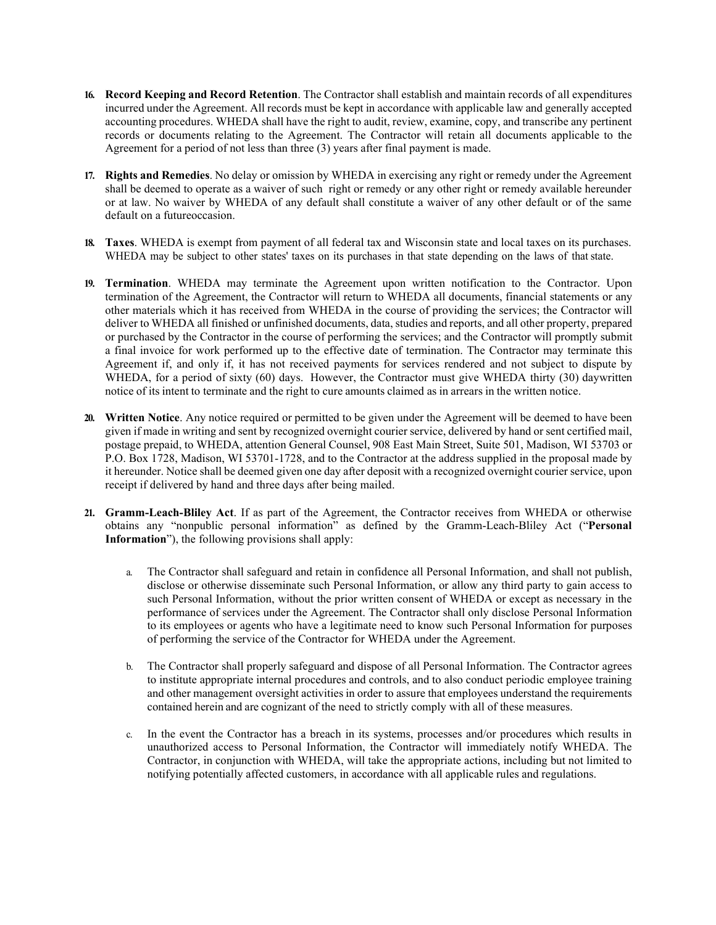- **16. Record Keeping and Record Retention**. The Contractor shall establish and maintain records of all expenditures incurred under the Agreement. All records must be kept in accordance with applicable law and generally accepted accounting procedures. WHEDA shall have the right to audit, review, examine, copy, and transcribe any pertinent records or documents relating to the Agreement. The Contractor will retain all documents applicable to the Agreement for a period of not less than three (3) years after final payment is made.
- **17. Rights and Remedies**. No delay or omission by WHEDA in exercising any right or remedy under the Agreement shall be deemed to operate as a waiver of such right or remedy or any other right or remedy available hereunder or at law. No waiver by WHEDA of any default shall constitute a waiver of any other default or of the same default on a futureoccasion.
- **18. Taxes**. WHEDA is exempt from payment of all federal tax and Wisconsin state and local taxes on its purchases. WHEDA may be subject to other states' taxes on its purchases in that state depending on the laws of that state.
- **19. Termination**. WHEDA may terminate the Agreement upon written notification to the Contractor. Upon termination of the Agreement, the Contractor will return to WHEDA all documents, financial statements or any other materials which it has received from WHEDA in the course of providing the services; the Contractor will deliver to WHEDA all finished or unfinished documents, data, studies and reports, and all other property, prepared or purchased by the Contractor in the course of performing the services; and the Contractor will promptly submit a final invoice for work performed up to the effective date of termination. The Contractor may terminate this Agreement if, and only if, it has not received payments for services rendered and not subject to dispute by WHEDA, for a period of sixty (60) days. However, the Contractor must give WHEDA thirty (30) daywritten notice of its intent to terminate and the right to cure amounts claimed as in arrears in the written notice.
- **20. Written Notice**. Any notice required or permitted to be given under the Agreement will be deemed to have been given if made in writing and sent by recognized overnight courier service, delivered by hand or sent certified mail, postage prepaid, to WHEDA, attention General Counsel, 908 East Main Street, Suite 501, Madison, WI 53703 or P.O. Box 1728, Madison, WI 53701-1728, and to the Contractor at the address supplied in the proposal made by it hereunder. Notice shall be deemed given one day after deposit with a recognized overnight courier service, upon receipt if delivered by hand and three days after being mailed.
- **21. Gramm-Leach-Bliley Act**. If as part of the Agreement, the Contractor receives from WHEDA or otherwise obtains any "nonpublic personal information" as defined by the Gramm-Leach-Bliley Act ("**Personal Information**"), the following provisions shall apply:
	- a. The Contractor shall safeguard and retain in confidence all Personal Information, and shall not publish, disclose or otherwise disseminate such Personal Information, or allow any third party to gain access to such Personal Information, without the prior written consent of WHEDA or except as necessary in the performance of services under the Agreement. The Contractor shall only disclose Personal Information to its employees or agents who have a legitimate need to know such Personal Information for purposes of performing the service of the Contractor for WHEDA under the Agreement.
	- b. The Contractor shall properly safeguard and dispose of all Personal Information. The Contractor agrees to institute appropriate internal procedures and controls, and to also conduct periodic employee training and other management oversight activities in order to assure that employees understand the requirements contained herein and are cognizant of the need to strictly comply with all of these measures.
	- c. In the event the Contractor has a breach in its systems, processes and/or procedures which results in unauthorized access to Personal Information, the Contractor will immediately notify WHEDA. The Contractor, in conjunction with WHEDA, will take the appropriate actions, including but not limited to notifying potentially affected customers, in accordance with all applicable rules and regulations.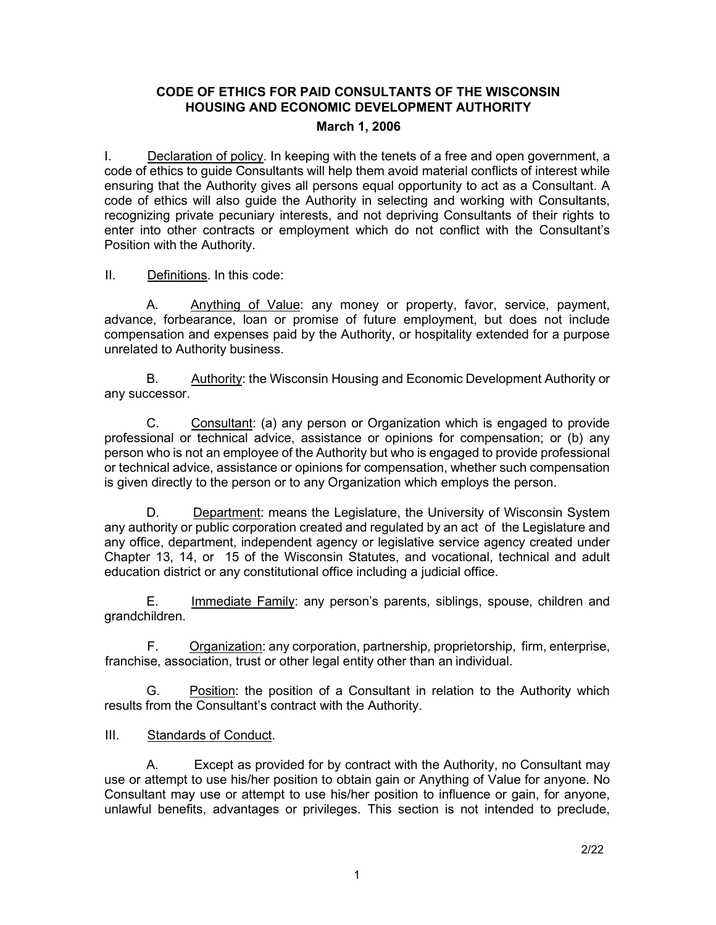# **CODE OF ETHICS FOR PAID CONSULTANTS OF THE WISCONSIN HOUSING AND ECONOMIC DEVELOPMENT AUTHORITY**

# **March 1, 2006**

I. Declaration of policy. In keeping with the tenets of a free and open government, a code of ethics to guide Consultants will help them avoid material conflicts of interest while ensuring that the Authority gives all persons equal opportunity to act as a Consultant. A code of ethics will also guide the Authority in selecting and working with Consultants, recognizing private pecuniary interests, and not depriving Consultants of their rights to enter into other contracts or employment which do not conflict with the Consultant's Position with the Authority.

II. Definitions. In this code:

A. Anything of Value: any money or property, favor, service, payment, advance, forbearance, loan or promise of future employment, but does not include compensation and expenses paid by the Authority, or hospitality extended for a purpose unrelated to Authority business.

B. Authority: the Wisconsin Housing and Economic Development Authority or any successor.

C. Consultant: (a) any person or Organization which is engaged to provide professional or technical advice, assistance or opinions for compensation; or (b) any person who is not an employee of the Authority but who is engaged to provide professional or technical advice, assistance or opinions for compensation, whether such compensation is given directly to the person or to any Organization which employs the person.

D. Department: means the Legislature, the University of Wisconsin System any authority or public corporation created and regulated by an act of the Legislature and any office, department, independent agency or legislative service agency created under Chapter 13, 14, or 15 of the Wisconsin Statutes, and vocational, technical and adult education district or any constitutional office including a judicial office.

E. Immediate Family: any person's parents, siblings, spouse, children and grandchildren.

F. Organization: any corporation, partnership, proprietorship, firm, enterprise, franchise, association, trust or other legal entity other than an individual.

G. Position: the position of a Consultant in relation to the Authority which results from the Consultant's contract with the Authority.

III. Standards of Conduct.

A. Except as provided for by contract with the Authority, no Consultant may use or attempt to use his/her position to obtain gain or Anything of Value for anyone. No Consultant may use or attempt to use his/her position to influence or gain, for anyone, unlawful benefits, advantages or privileges. This section is not intended to preclude,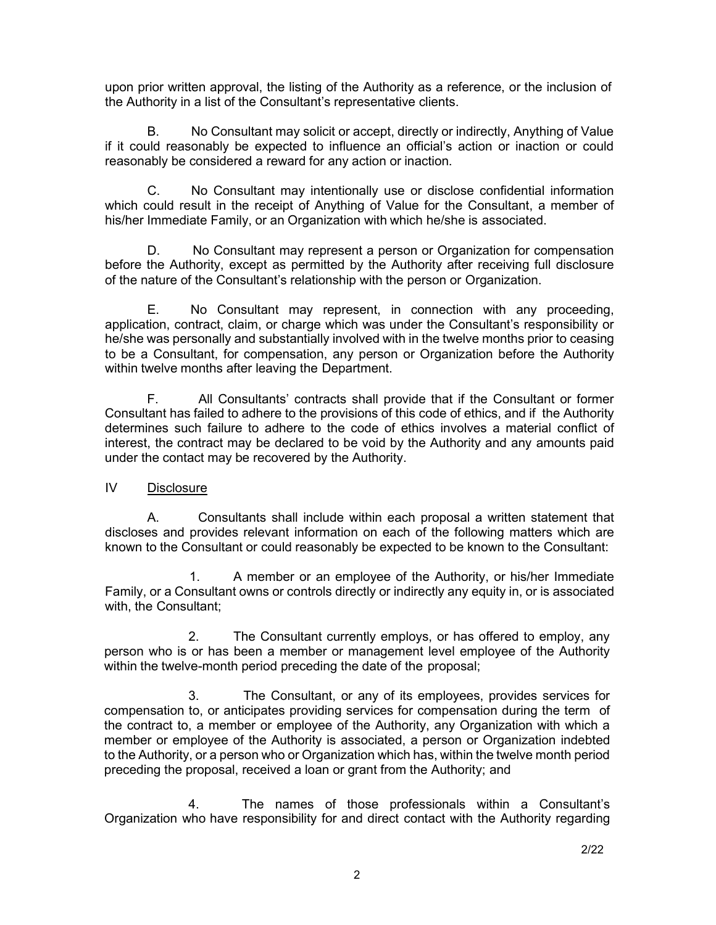upon prior written approval, the listing of the Authority as a reference, or the inclusion of the Authority in a list of the Consultant's representative clients.

B. No Consultant may solicit or accept, directly or indirectly, Anything of Value if it could reasonably be expected to influence an official's action or inaction or could reasonably be considered a reward for any action or inaction.

C. No Consultant may intentionally use or disclose confidential information which could result in the receipt of Anything of Value for the Consultant, a member of his/her Immediate Family, or an Organization with which he/she is associated.

D. No Consultant may represent a person or Organization for compensation before the Authority, except as permitted by the Authority after receiving full disclosure of the nature of the Consultant's relationship with the person or Organization.

E. No Consultant may represent, in connection with any proceeding, application, contract, claim, or charge which was under the Consultant's responsibility or he/she was personally and substantially involved with in the twelve months prior to ceasing to be a Consultant, for compensation, any person or Organization before the Authority within twelve months after leaving the Department.

F. All Consultants' contracts shall provide that if the Consultant or former Consultant has failed to adhere to the provisions of this code of ethics, and if the Authority determines such failure to adhere to the code of ethics involves a material conflict of interest, the contract may be declared to be void by the Authority and any amounts paid under the contact may be recovered by the Authority.

# IV Disclosure

A. Consultants shall include within each proposal a written statement that discloses and provides relevant information on each of the following matters which are known to the Consultant or could reasonably be expected to be known to the Consultant:

1. A member or an employee of the Authority, or his/her Immediate Family, or a Consultant owns or controls directly or indirectly any equity in, or is associated with, the Consultant;

2. The Consultant currently employs, or has offered to employ, any person who is or has been a member or management level employee of the Authority within the twelve-month period preceding the date of the proposal;

3. The Consultant, or any of its employees, provides services for compensation to, or anticipates providing services for compensation during the term of the contract to, a member or employee of the Authority, any Organization with which a member or employee of the Authority is associated, a person or Organization indebted to the Authority, or a person who or Organization which has, within the twelve month period preceding the proposal, received a loan or grant from the Authority; and

4. The names of those professionals within a Consultant's Organization who have responsibility for and direct contact with the Authority regarding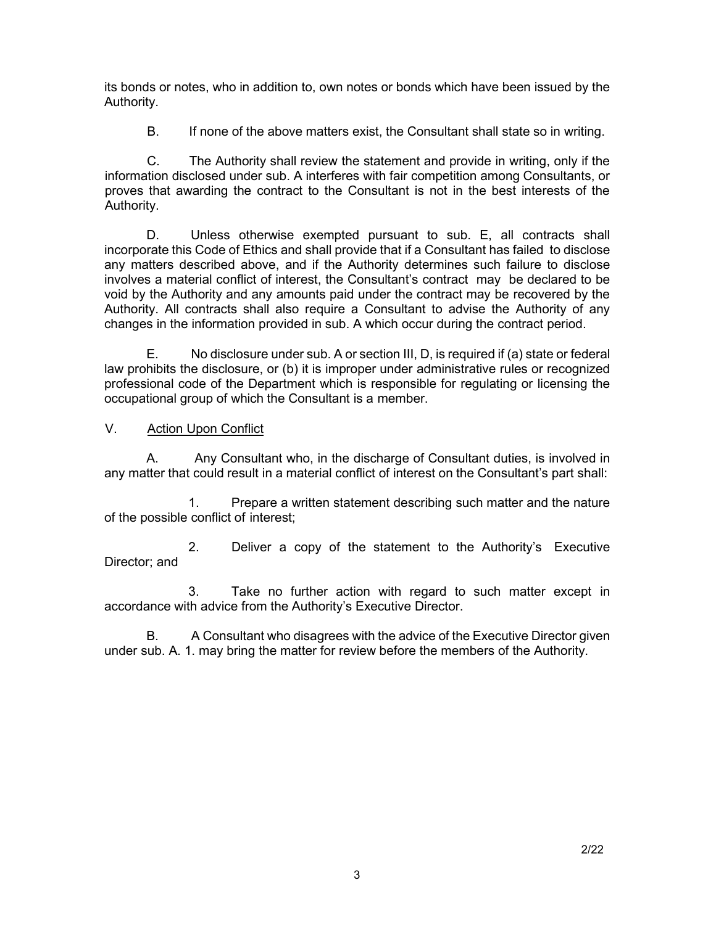its bonds or notes, who in addition to, own notes or bonds which have been issued by the Authority.

B. If none of the above matters exist, the Consultant shall state so in writing.

C. The Authority shall review the statement and provide in writing, only if the information disclosed under sub. A interferes with fair competition among Consultants, or proves that awarding the contract to the Consultant is not in the best interests of the Authority.

D. Unless otherwise exempted pursuant to sub. E, all contracts shall incorporate this Code of Ethics and shall provide that if a Consultant has failed to disclose any matters described above, and if the Authority determines such failure to disclose involves a material conflict of interest, the Consultant's contract may be declared to be void by the Authority and any amounts paid under the contract may be recovered by the Authority. All contracts shall also require a Consultant to advise the Authority of any changes in the information provided in sub. A which occur during the contract period.

E. No disclosure under sub. A or section III, D, is required if (a) state or federal law prohibits the disclosure, or (b) it is improper under administrative rules or recognized professional code of the Department which is responsible for regulating or licensing the occupational group of which the Consultant is a member.

# V. Action Upon Conflict

A. Any Consultant who, in the discharge of Consultant duties, is involved in any matter that could result in a material conflict of interest on the Consultant's part shall:

1. Prepare a written statement describing such matter and the nature of the possible conflict of interest;

2. Deliver a copy of the statement to the Authority's Executive Director; and

3. Take no further action with regard to such matter except in accordance with advice from the Authority's Executive Director.

B. A Consultant who disagrees with the advice of the Executive Director given under sub. A. 1. may bring the matter for review before the members of the Authority.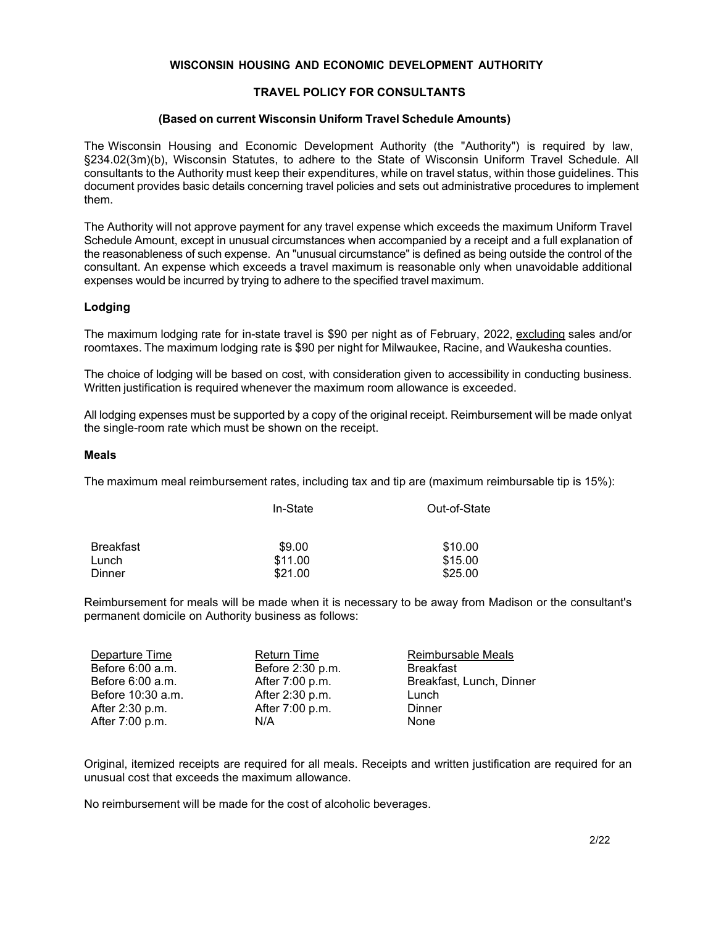#### **WISCONSIN HOUSING AND ECONOMIC DEVELOPMENT AUTHORITY**

#### **TRAVEL POLICY FOR CONSULTANTS**

#### **(Based on current Wisconsin Uniform Travel Schedule Amounts)**

The Wisconsin Housing and Economic Development Authority (the "Authority") is required by law, §234.02(3m)(b), Wisconsin Statutes, to adhere to the State of Wisconsin Uniform Travel Schedule. All consultants to the Authority must keep their expenditures, while on travel status, within those guidelines. This document provides basic details concerning travel policies and sets out administrative procedures to implement them.

The Authority will not approve payment for any travel expense which exceeds the maximum Uniform Travel Schedule Amount, except in unusual circumstances when accompanied by a receipt and a full explanation of the reasonableness of such expense. An "unusual circumstance" is defined as being outside the control of the consultant. An expense which exceeds a travel maximum is reasonable only when unavoidable additional expenses would be incurred by trying to adhere to the specified travel maximum.

#### **Lodging**

The maximum lodging rate for in-state travel is \$90 per night as of February, 2022, excluding sales and/or roomtaxes. The maximum lodging rate is \$90 per night for Milwaukee, Racine, and Waukesha counties.

The choice of lodging will be based on cost, with consideration given to accessibility in conducting business. Written justification is required whenever the maximum room allowance is exceeded.

All lodging expenses must be supported by a copy of the original receipt. Reimbursement will be made onlyat the single-room rate which must be shown on the receipt.

#### **Meals**

The maximum meal reimbursement rates, including tax and tip are (maximum reimbursable tip is 15%):

|         | Out-of-State |
|---------|--------------|
| \$9.00  | \$10.00      |
| \$11.00 | \$15.00      |
| \$21.00 | \$25.00      |
|         | In-State     |

Reimbursement for meals will be made when it is necessary to be away from Madison or the consultant's permanent domicile on Authority business as follows:

| Departure Time     | <b>Return Time</b> | Reimbursable Meals       |
|--------------------|--------------------|--------------------------|
| Before 6:00 a.m.   | Before 2:30 p.m.   | <b>Breakfast</b>         |
| Before $6:00$ a.m. | After 7:00 p.m.    | Breakfast, Lunch, Dinner |
| Before 10:30 a.m.  | After 2:30 p.m.    | Lunch                    |
| After 2:30 p.m.    | After 7:00 p.m.    | Dinner                   |
| After 7:00 p.m.    | N/A                | None                     |

Original, itemized receipts are required for all meals. Receipts and written justification are required for an unusual cost that exceeds the maximum allowance.

No reimbursement will be made for the cost of alcoholic beverages.